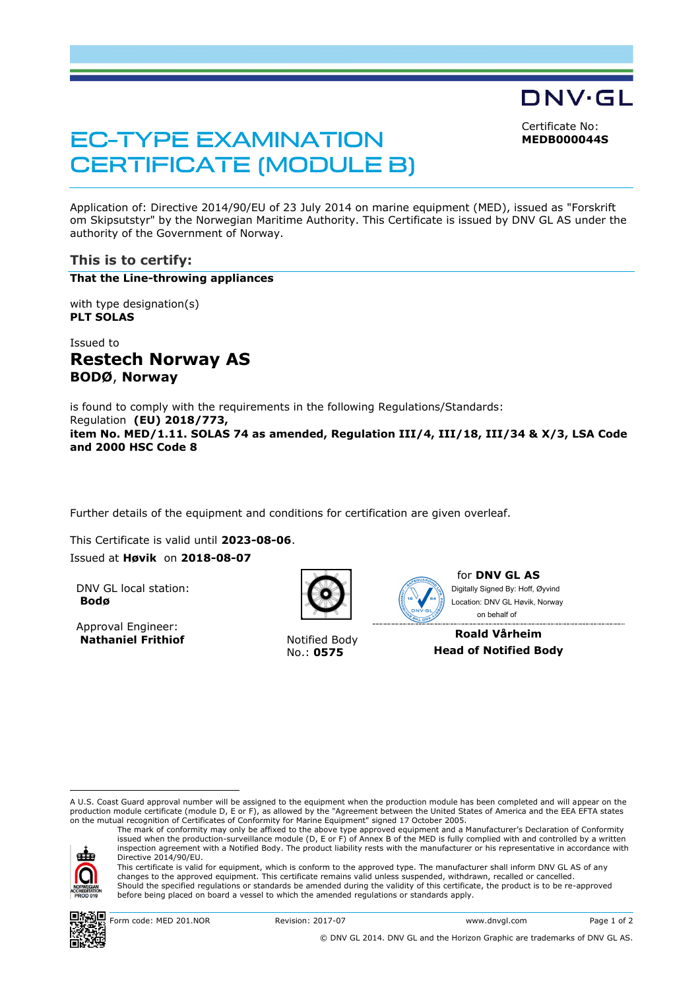DNV·GL

Certificate No: **MEDB000044S**

# **EC-TYPE EXAMINATION CERTIFICATE (MODULE B)**

Application of: Directive 2014/90/EU of 23 July 2014 on marine equipment (MED), issued as "Forskrift om Skipsutstyr" by the Norwegian Maritime Authority. This Certificate is issued by DNV GL AS under the authority of the Government of Norway.

## **This is to certify:**

#### **That the Line-throwing appliances**

with type designation(s) **PLT SOLAS**

Issued to **Restech Norway AS BODØ**, **Norway**

is found to comply with the requirements in the following Regulations/Standards: Regulation **(EU) 2018/773, item No. MED/1.11. SOLAS 74 as amended, Regulation III/4, III/18, III/34 & X/3, LSA Code and 2000 HSC Code 8**

Further details of the equipment and conditions for certification are given overleaf.

This Certificate is valid until **2023-08-06**. Issued at **Høvik** on **2018-08-07**

DNV GL local station: **Bodø**

Approval Engineer: **Nathaniel Frithiof** Notified Body



No.: **0575**



for **DNV GL AS** on behalf ofDigitally Signed By: Hoff, Øyvind Location: DNV GL Høvik, Norway

**Roald Vårheim Head of Notified Body**

A U.S. Coast Guard approval number will be assigned to the equipment when the production module has been completed and will appear on the production module certificate (module D, E or F), as allowed by the "Agreement between the United States of America and the EEA EFTA states on the mutual recognition of Certificates of Conformity for Marine Equipment" signed 17 October 2005.

ele

ı

inspection agreement with a Notified Body. The product liability rests with the manufacturer or his representative in accordance with Directive 2014/90/EU. This certificate is valid for equipment, which is conform to the approved type. The manufacturer shall inform DNV GL AS of any changes to the approved equipment. This certificate remains valid unless suspended, withdrawn, recalled or cancelled. Should the specified regulations or standards be amended during the validity of this certificate, the product is to be re-approved before being placed on board a vessel to which the amended regulations or standards apply.

The mark of conformity may only be affixed to the above type approved equipment and a Manufacturer's Declaration of Conformity<br>issued when the production-surveillance module (D, E or F) of Annex B of the MED is fully compl